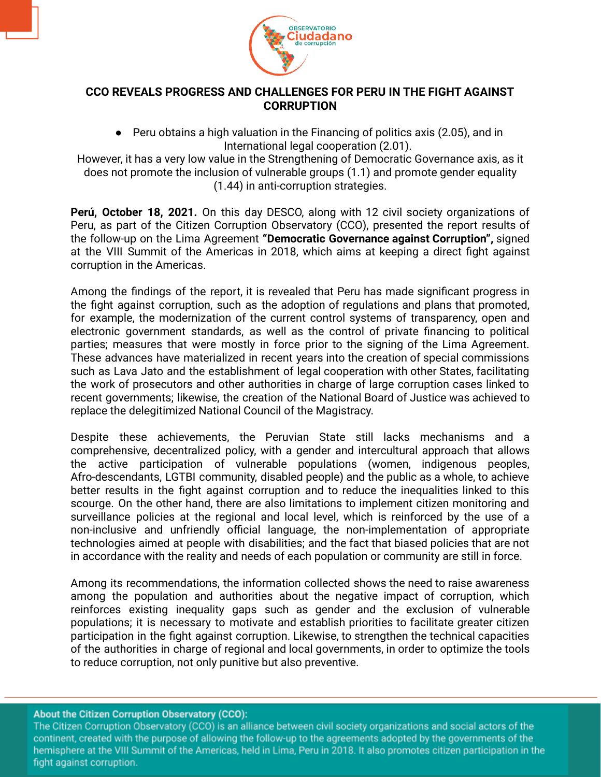

## **CCO REVEALS PROGRESS AND CHALLENGES FOR PERU IN THE FIGHT AGAINST CORRUPTION**

● Peru obtains a high valuation in the Financing of politics axis (2.05), and in International legal cooperation (2.01).

However, it has a very low value in the Strengthening of Democratic Governance axis, as it does not promote the inclusion of vulnerable groups (1.1) and promote gender equality (1.44) in anti-corruption strategies.

**Perú, October 18, 2021.** On this day DESCO, along with 12 civil society organizations of Peru, as part of the Citizen Corruption Observatory (CCO), presented the report results of the follow-up on the Lima Agreement **"Democratic Governance against Corruption",** signed at the VIII Summit of the Americas in 2018, which aims at keeping a direct fight against corruption in the Americas.

Among the findings of the report, it is revealed that Peru has made significant progress in the fight against corruption, such as the adoption of regulations and plans that promoted, for example, the modernization of the current control systems of transparency, open and electronic government standards, as well as the control of private financing to political parties; measures that were mostly in force prior to the signing of the Lima Agreement. These advances have materialized in recent years into the creation of special commissions such as Lava Jato and the establishment of legal cooperation with other States, facilitating the work of prosecutors and other authorities in charge of large corruption cases linked to recent governments; likewise, the creation of the National Board of Justice was achieved to replace the delegitimized National Council of the Magistracy.

Despite these achievements, the Peruvian State still lacks mechanisms and a comprehensive, decentralized policy, with a gender and intercultural approach that allows the active participation of vulnerable populations (women, indigenous peoples, Afro-descendants, LGTBI community, disabled people) and the public as a whole, to achieve better results in the fight against corruption and to reduce the inequalities linked to this scourge. On the other hand, there are also limitations to implement citizen monitoring and surveillance policies at the regional and local level, which is reinforced by the use of a non-inclusive and unfriendly official language, the non-implementation of appropriate technologies aimed at people with disabilities; and the fact that biased policies that are not in accordance with the reality and needs of each population or community are still in force.

Among its recommendations, the information collected shows the need to raise awareness among the population and authorities about the negative impact of corruption, which reinforces existing inequality gaps such as gender and the exclusion of vulnerable populations; it is necessary to motivate and establish priorities to facilitate greater citizen participation in the fight against corruption. Likewise, to strengthen the technical capacities of the authorities in charge of regional and local governments, in order to optimize the tools to reduce corruption, not only punitive but also preventive.

**About the Citizen Corruption Observatory (CCO):** 

The Citizen Corruption Observatory (CCO) is an alliance between civil society organizations and social actors of the continent, created with the purpose of allowing the follow-up to the agreements adopted by the governments of the hemisphere at the VIII Summit of the Americas, held in Lima, Peru in 2018. It also promotes citizen participation in the fight against corruption.